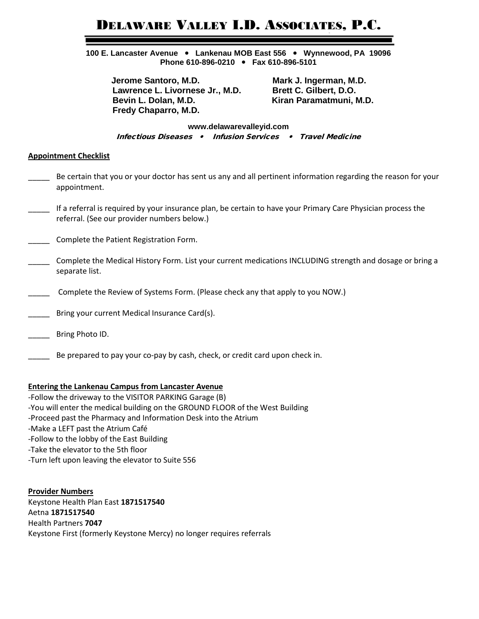# DELAWARE VALLEY I.D. ASSOCIATES, P.C.

**100 E. Lancaster Avenue Lankenau MOB East 556 Wynnewood, PA 19096 Phone 610-896-0210 Fax 610-896-5101**

**Jerome Santoro, M.D.** Mark J. Ingerman, M.D. Lawrence L. Livornese Jr., M.D. Brett C. Gilbert, D.O.  **Bevin L. Dolan, M.D. Kiran Paramatmuni, M.D. Fredy Chaparro, M.D.**

**www.delawarevalleyid.com** Infectious Diseases • Infusion Services • Travel Medicine

### **Appointment Checklist**

- Be certain that you or your doctor has sent us any and all pertinent information regarding the reason for your appointment.
- \_\_\_\_\_ If a referral is required by your insurance plan, be certain to have your Primary Care Physician process the referral. (See our provider numbers below.)
- Complete the Patient Registration Form.
- Complete the Medical History Form. List your current medications INCLUDING strength and dosage or bring a separate list.
- Complete the Review of Systems Form. (Please check any that apply to you NOW.)
- Bring your current Medical Insurance Card(s).
- Bring Photo ID.
- Be prepared to pay your co-pay by cash, check, or credit card upon check in.

#### **Entering the Lankenau Campus from Lancaster Avenue**

-Follow the driveway to the VISITOR PARKING Garage (B) -You will enter the medical building on the GROUND FLOOR of the West Building -Proceed past the Pharmacy and Information Desk into the Atrium -Make a LEFT past the Atrium Café -Follow to the lobby of the East Building -Take the elevator to the 5th floor -Turn left upon leaving the elevator to Suite 556

**Provider Numbers** Keystone Health Plan East **1871517540** Aetna **1871517540** Health Partners **7047** Keystone First (formerly Keystone Mercy) no longer requires referrals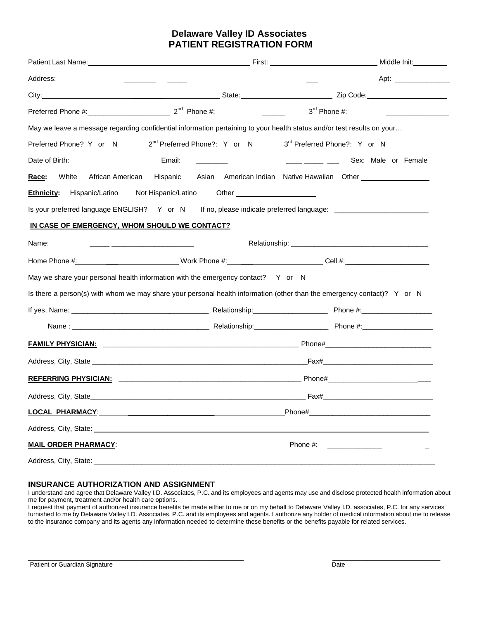## **Delaware Valley ID Associates PATIENT REGISTRATION FORM**

|                                               | May we leave a message regarding confidential information pertaining to your health status and/or test results on your                                                                                                                                                                    |  |  |  |  |  |
|-----------------------------------------------|-------------------------------------------------------------------------------------------------------------------------------------------------------------------------------------------------------------------------------------------------------------------------------------------|--|--|--|--|--|
|                                               | Preferred Phone? Y or N 2 <sup>nd</sup> Preferred Phone?: Y or N 3 <sup>rd</sup> Preferred Phone?: Y or N                                                                                                                                                                                 |  |  |  |  |  |
|                                               |                                                                                                                                                                                                                                                                                           |  |  |  |  |  |
| White<br>Race:                                | African American Hispanic Asian American Indian Native Hawaiian Other ___________<br><b>Ethnicity:</b> Hispanic/Latino Not Hispanic/Latino Other __________________________<br>Is your preferred language ENGLISH? Y or N If no, please indicate preferred language: ____________________ |  |  |  |  |  |
| IN CASE OF EMERGENCY, WHOM SHOULD WE CONTACT? |                                                                                                                                                                                                                                                                                           |  |  |  |  |  |
|                                               |                                                                                                                                                                                                                                                                                           |  |  |  |  |  |
|                                               |                                                                                                                                                                                                                                                                                           |  |  |  |  |  |
|                                               | May we share your personal health information with the emergency contact? Y or N                                                                                                                                                                                                          |  |  |  |  |  |
|                                               | Is there a person(s) with whom we may share your personal health information (other than the emergency contact)? Y or N                                                                                                                                                                   |  |  |  |  |  |
|                                               |                                                                                                                                                                                                                                                                                           |  |  |  |  |  |
|                                               |                                                                                                                                                                                                                                                                                           |  |  |  |  |  |
|                                               |                                                                                                                                                                                                                                                                                           |  |  |  |  |  |
|                                               |                                                                                                                                                                                                                                                                                           |  |  |  |  |  |
|                                               |                                                                                                                                                                                                                                                                                           |  |  |  |  |  |
|                                               |                                                                                                                                                                                                                                                                                           |  |  |  |  |  |
|                                               |                                                                                                                                                                                                                                                                                           |  |  |  |  |  |
|                                               |                                                                                                                                                                                                                                                                                           |  |  |  |  |  |
|                                               |                                                                                                                                                                                                                                                                                           |  |  |  |  |  |
|                                               |                                                                                                                                                                                                                                                                                           |  |  |  |  |  |

#### **INSURANCE AUTHORIZATION AND ASSIGNMENT**

I understand and agree that Delaware Valley I.D. Associates, P.C. and its employees and agents may use and disclose protected health information about me for payment, treatment and/or health care options.

I request that payment of authorized insurance benefits be made either to me or on my behalf to Delaware Valley I.D. associates, P.C. for any services furnished to me by Delaware Valley I.D. Associates, P.C. and its employees and agents. I authorize any holder of medical information about me to release to the insurance company and its agents any information needed to determine these benefits or the benefits payable for related services.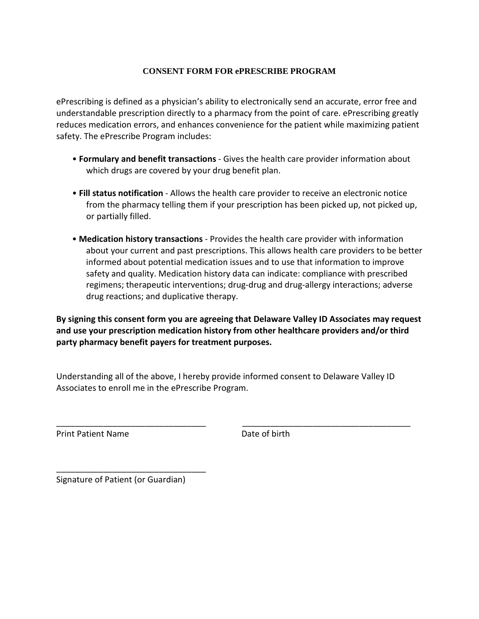## **CONSENT FORM FOR ePRESCRIBE PROGRAM**

ePrescribing is defined as a physician's ability to electronically send an accurate, error free and understandable prescription directly to a pharmacy from the point of care. ePrescribing greatly reduces medication errors, and enhances convenience for the patient while maximizing patient safety. The ePrescribe Program includes:

- **Formulary and benefit transactions**  Gives the health care provider information about which drugs are covered by your drug benefit plan.
- **Fill status notification**  Allows the health care provider to receive an electronic notice from the pharmacy telling them if your prescription has been picked up, not picked up, or partially filled.
- **Medication history transactions**  Provides the health care provider with information about your current and past prescriptions. This allows health care providers to be better informed about potential medication issues and to use that information to improve safety and quality. Medication history data can indicate: compliance with prescribed regimens; therapeutic interventions; drug-drug and drug-allergy interactions; adverse drug reactions; and duplicative therapy.

**By signing this consent form you are agreeing that Delaware Valley ID Associates may request and use your prescription medication history from other healthcare providers and/or third party pharmacy benefit payers for treatment purposes.** 

Understanding all of the above, I hereby provide informed consent to Delaware Valley ID Associates to enroll me in the ePrescribe Program.

Print Patient Name **Date of birth** 

Signature of Patient (or Guardian)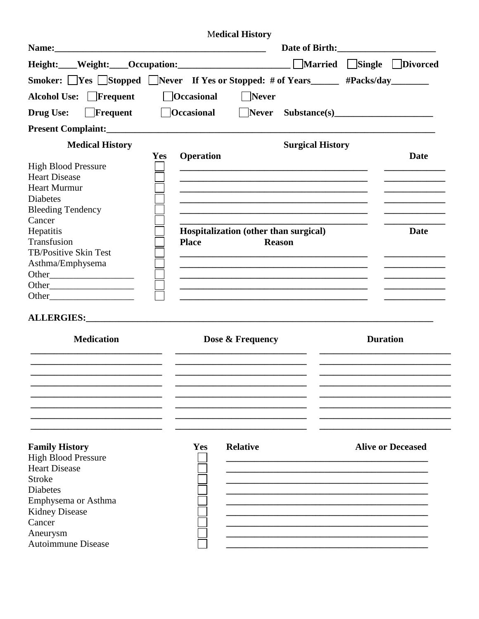|                                                                    |                                | <b>Medical History</b>                |                                                                                                                       |                 |                          |
|--------------------------------------------------------------------|--------------------------------|---------------------------------------|-----------------------------------------------------------------------------------------------------------------------|-----------------|--------------------------|
|                                                                    |                                |                                       |                                                                                                                       |                 |                          |
| Height: Weight: Occupation: Married Single Divorced                |                                |                                       |                                                                                                                       |                 |                          |
| Smoker: Ves Stopped Never If Yes or Stopped: # of Years #Packs/day |                                |                                       |                                                                                                                       |                 |                          |
| Alcohol Use: Frequent                                              | <b>Occasional</b>              | <b>Never</b>                          |                                                                                                                       |                 |                          |
| Frequent<br><b>Drug Use:</b>                                       | $\bigcap$ Occasional           |                                       | Never Substance(s)                                                                                                    |                 |                          |
|                                                                    |                                |                                       |                                                                                                                       |                 |                          |
| <b>Medical History</b>                                             |                                |                                       | <b>Surgical History</b>                                                                                               |                 |                          |
|                                                                    | <b>Operation</b><br><b>Yes</b> |                                       |                                                                                                                       |                 | Date                     |
| <b>High Blood Pressure</b>                                         |                                |                                       |                                                                                                                       |                 |                          |
| <b>Heart Disease</b>                                               |                                |                                       |                                                                                                                       |                 |                          |
| <b>Heart Murmur</b>                                                |                                |                                       | <u> 1989 - Johann Harry Harry Harry Harry Harry Harry Harry Harry Harry Harry Harry Harry Harry Harry Harry Harry</u> |                 |                          |
| <b>Diabetes</b>                                                    |                                |                                       | <u> 1989 - Johann John Stone, markin film yn y sefydlu yn y gynnwys y gynnwys y gynnwys y gynnwys y gynnwys y gyn</u> |                 |                          |
| <b>Bleeding Tendency</b>                                           |                                |                                       |                                                                                                                       |                 |                          |
| Cancer                                                             |                                |                                       |                                                                                                                       |                 |                          |
| Hepatitis                                                          |                                | Hospitalization (other than surgical) |                                                                                                                       |                 | Date                     |
| Transfusion                                                        | <b>Place</b>                   |                                       | <b>Reason</b>                                                                                                         |                 |                          |
| TB/Positive Skin Test                                              |                                |                                       |                                                                                                                       |                 |                          |
| Asthma/Emphysema                                                   |                                |                                       | <u> 1980 - Johann John Stone, mars and de film and de film and de film and de film and de film and de film and de</u> |                 |                          |
|                                                                    |                                |                                       | <u> 1989 - Johann Barn, mars an t-Amerikaansk kommunister (* 1958)</u>                                                |                 |                          |
| Other                                                              |                                |                                       | <u> 1989 - Johann John Stoff, deutscher Stoffen und der Stoffen und der Stoffen und der Stoffen und der Stoffen u</u> |                 |                          |
|                                                                    |                                |                                       |                                                                                                                       |                 |                          |
|                                                                    |                                |                                       |                                                                                                                       |                 |                          |
| <b>Medication</b>                                                  |                                | Dose & Frequency                      |                                                                                                                       | <b>Duration</b> |                          |
|                                                                    |                                |                                       |                                                                                                                       |                 |                          |
|                                                                    |                                |                                       |                                                                                                                       |                 |                          |
|                                                                    |                                |                                       |                                                                                                                       |                 |                          |
| <b>Family History</b>                                              | Yes                            | <b>Relative</b>                       |                                                                                                                       |                 | <b>Alive or Deceased</b> |
| <b>High Blood Pressure</b>                                         |                                |                                       |                                                                                                                       |                 |                          |
| <b>Heart Disease</b>                                               |                                |                                       |                                                                                                                       |                 |                          |
| <b>Stroke</b>                                                      |                                |                                       |                                                                                                                       |                 |                          |
| <b>Diabetes</b>                                                    |                                |                                       |                                                                                                                       |                 |                          |
| Emphysema or Asthma                                                |                                |                                       |                                                                                                                       |                 |                          |
| <b>Kidney Disease</b>                                              |                                |                                       |                                                                                                                       |                 |                          |
| Cancer                                                             |                                |                                       |                                                                                                                       |                 |                          |
| Aneurysm                                                           |                                |                                       |                                                                                                                       |                 |                          |
| <b>Autoimmune Disease</b>                                          |                                |                                       |                                                                                                                       |                 |                          |